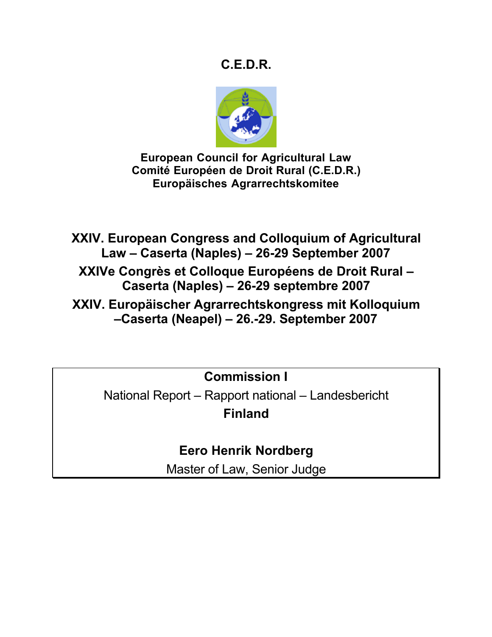# **C.E.D.R.**



**European Council for Agricultural Law Comité Européen de Droit Rural (C.E.D.R.) Europäisches Agrarrechtskomitee**

**XXIV. European Congress and Colloquium of Agricultural Law – Caserta (Naples) – 26-29 September 2007**

**XXIVe Congrès et Colloque Européens de Droit Rural – Caserta (Naples) – 26-29 septembre 2007**

**XXIV. Europäischer Agrarrechtskongress mit Kolloquium –Caserta (Neapel) – 26.-29. September 2007**

**Commission I**

National Report – Rapport national – Landesbericht **Finland**

**Eero Henrik Nordberg**

Master of Law, Senior Judge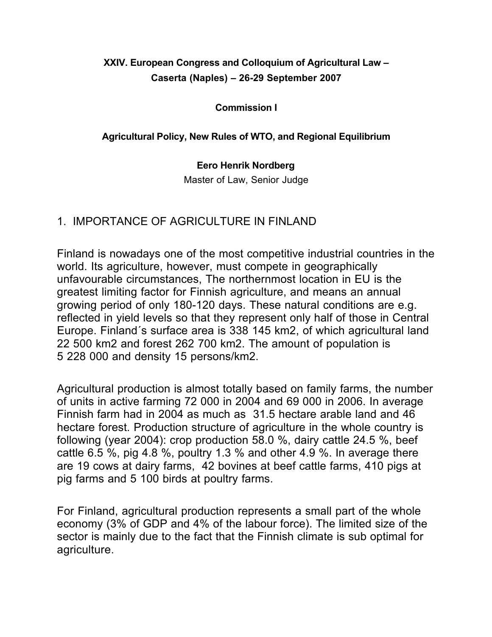## **XXIV. European Congress and Colloquium of Agricultural Law – Caserta (Naples) – 26-29 September 2007**

#### **Commission I**

#### **Agricultural Policy, New Rules of WTO, and Regional Equilibrium**

#### **Eero Henrik Nordberg**

Master of Law, Senior Judge

#### 1. IMPORTANCE OF AGRICULTURE IN FINLAND

Finland is nowadays one of the most competitive industrial countries in the world. Its agriculture, however, must compete in geographically unfavourable circumstances, The northernmost location in EU is the greatest limiting factor for Finnish agriculture, and means an annual growing period of only 180-120 days. These natural conditions are e.g. reflected in yield levels so that they represent only half of those in Central Europe. Finland´s surface area is 338 145 km2, of which agricultural land 22 500 km2 and forest 262 700 km2. The amount of population is 5 228 000 and density 15 persons/km2.

Agricultural production is almost totally based on family farms, the number of units in active farming 72 000 in 2004 and 69 000 in 2006. In average Finnish farm had in 2004 as much as 31.5 hectare arable land and 46 hectare forest. Production structure of agriculture in the whole country is following (year 2004): crop production 58.0 %, dairy cattle 24.5 %, beef cattle 6.5 %, pig 4.8 %, poultry 1.3 % and other 4.9 %. In average there are 19 cows at dairy farms, 42 bovines at beef cattle farms, 410 pigs at pig farms and 5 100 birds at poultry farms.

For Finland, agricultural production represents a small part of the whole economy (3% of GDP and 4% of the labour force). The limited size of the sector is mainly due to the fact that the Finnish climate is sub optimal for agriculture.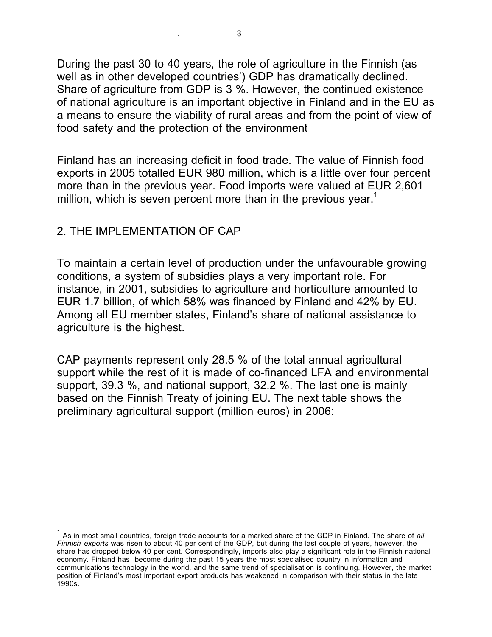During the past 30 to 40 years, the role of agriculture in the Finnish (as well as in other developed countries') GDP has dramatically declined. Share of agriculture from GDP is 3 %. However, the continued existence of national agriculture is an important objective in Finland and in the EU as a means to ensure the viability of rural areas and from the point of view of food safety and the protection of the environment

Finland has an increasing deficit in food trade. The value of Finnish food exports in 2005 totalled EUR 980 million, which is a little over four percent more than in the previous year. Food imports were valued at EUR 2,601 million, which is seven percent more than in the previous year.<sup>1</sup>

## 2. THE IMPI EMENTATION OF CAP

 $\overline{a}$ 

To maintain a certain level of production under the unfavourable growing conditions, a system of subsidies plays a very important role. For instance, in 2001, subsidies to agriculture and horticulture amounted to EUR 1.7 billion, of which 58% was financed by Finland and 42% by EU. Among all EU member states, Finland's share of national assistance to agriculture is the highest.

CAP payments represent only 28.5 % of the total annual agricultural support while the rest of it is made of co-financed LFA and environmental support, 39.3 %, and national support, 32.2 %. The last one is mainly based on the Finnish Treaty of joining EU. The next table shows the preliminary agricultural support (million euros) in 2006:

<sup>1</sup> As in most small countries, foreign trade accounts for a marked share of the GDP in Finland. The share of *all Finnish exports* was risen to about 40 per cent of the GDP, but during the last couple of years, however, the share has dropped below 40 per cent. Correspondingly, imports also play a significant role in the Finnish national economy. Finland has become during the past 15 years the most specialised country in information and communications technology in the world, and the same trend of specialisation is continuing. However, the market position of Finland's most important export products has weakened in comparison with their status in the late 1990s.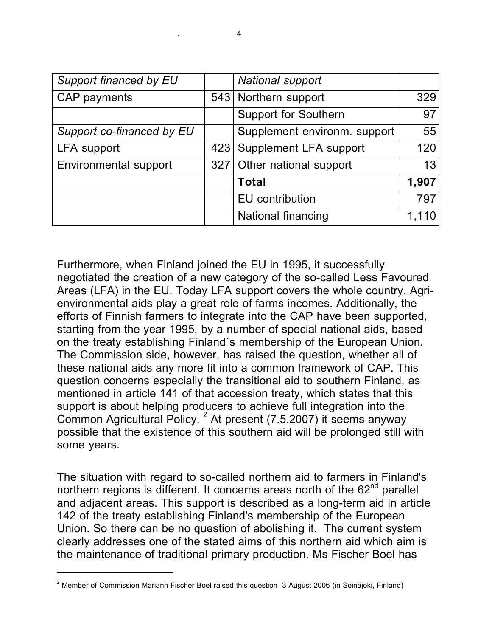| Support financed by EU    | <b>National support</b>      |       |
|---------------------------|------------------------------|-------|
| CAP payments              | 543 Northern support         | 329   |
|                           | <b>Support for Southern</b>  | 97    |
| Support co-financed by EU | Supplement environm. support | 55    |
| <b>LFA</b> support        | 423 Supplement LFA support   | 120   |
| Environmental support     | 327 Other national support   | 13    |
|                           | <b>Total</b>                 | 1,907 |
|                           | EU contribution              | 797   |
|                           | <b>National financing</b>    | 1,110 |

Furthermore, when Finland joined the EU in 1995, it successfully negotiated the creation of a new category of the so-called Less Favoured Areas (LFA) in the EU. Today LFA support covers the whole country. Agrienvironmental aids play a great role of farms incomes. Additionally, the efforts of Finnish farmers to integrate into the CAP have been supported, starting from the year 1995, by a number of special national aids, based on the treaty establishing Finland´s membership of the European Union. The Commission side, however, has raised the question, whether all of these national aids any more fit into a common framework of CAP. This question concerns especially the transitional aid to southern Finland, as mentioned in article 141 of that accession treaty, which states that this support is about helping producers to achieve full integration into the Common Agricultural Policy.<sup>2</sup> At present (7.5.2007) it seems anyway possible that the existence of this southern aid will be prolonged still with some years.

The situation with regard to so-called northern aid to farmers in Finland's northern regions is different. It concerns areas north of the  $62<sup>nd</sup>$  parallel and adjacent areas. This support is described as a long-term aid in article 142 of the treaty establishing Finland's membership of the European Union. So there can be no question of abolishing it. The current system clearly addresses one of the stated aims of this northern aid which aim is the maintenance of traditional primary production. Ms Fischer Boel has

 $2$  Member of Commission Mariann Fischer Boel raised this question 3 August 2006 (in Seinäjoki, Finland)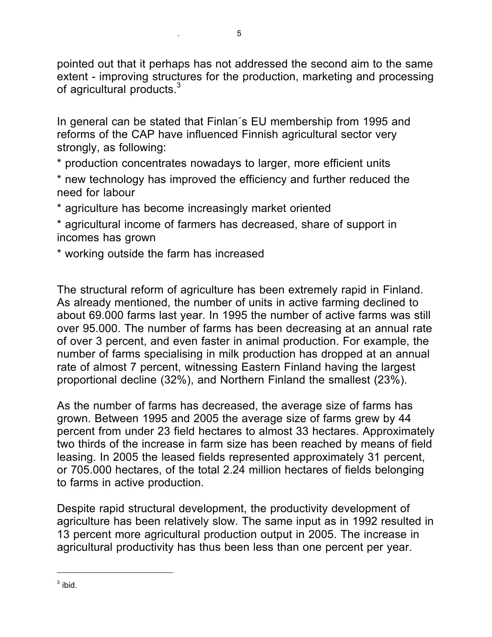pointed out that it perhaps has not addressed the second aim to the same extent - improving structures for the production, marketing and processing of agricultural products.<sup>3</sup>

In general can be stated that Finlan´s EU membership from 1995 and reforms of the CAP have influenced Finnish agricultural sector very strongly, as following:

\* production concentrates nowadays to larger, more efficient units

\* new technology has improved the efficiency and further reduced the need for labour

\* agriculture has become increasingly market oriented

\* agricultural income of farmers has decreased, share of support in incomes has grown

\* working outside the farm has increased

The structural reform of agriculture has been extremely rapid in Finland. As already mentioned, the number of units in active farming declined to about 69.000 farms last year. In 1995 the number of active farms was still over 95.000. The number of farms has been decreasing at an annual rate of over 3 percent, and even faster in animal production. For example, the number of farms specialising in milk production has dropped at an annual rate of almost 7 percent, witnessing Eastern Finland having the largest proportional decline (32%), and Northern Finland the smallest (23%).

As the number of farms has decreased, the average size of farms has grown. Between 1995 and 2005 the average size of farms grew by 44 percent from under 23 field hectares to almost 33 hectares. Approximately two thirds of the increase in farm size has been reached by means of field leasing. In 2005 the leased fields represented approximately 31 percent, or 705.000 hectares, of the total 2.24 million hectares of fields belonging to farms in active production.

Despite rapid structural development, the productivity development of agriculture has been relatively slow. The same input as in 1992 resulted in 13 percent more agricultural production output in 2005. The increase in agricultural productivity has thus been less than one percent per year.

 $3$  ibid.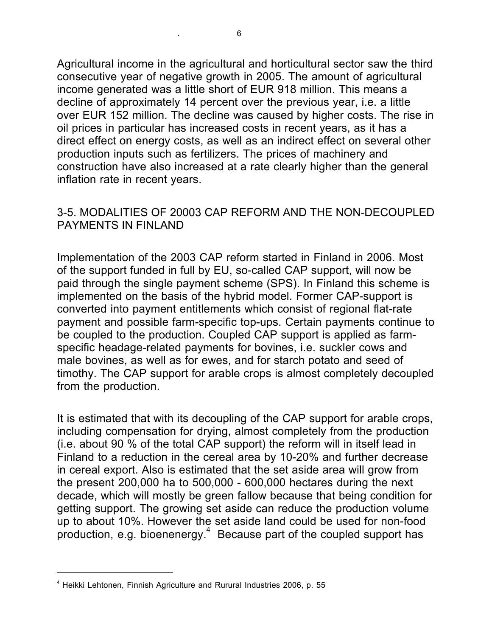Agricultural income in the agricultural and horticultural sector saw the third consecutive year of negative growth in 2005. The amount of agricultural income generated was a little short of EUR 918 million. This means a decline of approximately 14 percent over the previous year, i.e. a little over EUR 152 million. The decline was caused by higher costs. The rise in oil prices in particular has increased costs in recent years, as it has a direct effect on energy costs, as well as an indirect effect on several other production inputs such as fertilizers. The prices of machinery and construction have also increased at a rate clearly higher than the general inflation rate in recent years.

### 3-5. MODALITIES OF 20003 CAP REFORM AND THE NON-DECOUPLED PAYMENTS IN FINLAND

Implementation of the 2003 CAP reform started in Finland in 2006. Most of the support funded in full by EU, so-called CAP support, will now be paid through the single payment scheme (SPS). In Finland this scheme is implemented on the basis of the hybrid model. Former CAP-support is converted into payment entitlements which consist of regional flat-rate payment and possible farm-specific top-ups. Certain payments continue to be coupled to the production. Coupled CAP support is applied as farmspecific headage-related payments for bovines, i.e. suckler cows and male bovines, as well as for ewes, and for starch potato and seed of timothy. The CAP support for arable crops is almost completely decoupled from the production.

It is estimated that with its decoupling of the CAP support for arable crops, including compensation for drying, almost completely from the production (i.e. about 90 % of the total CAP support) the reform will in itself lead in Finland to a reduction in the cereal area by 10-20% and further decrease in cereal export. Also is estimated that the set aside area will grow from the present 200,000 ha to 500,000 - 600,000 hectares during the next decade, which will mostly be green fallow because that being condition for getting support. The growing set aside can reduce the production volume up to about 10%. However the set aside land could be used for non-food  $p$ roduction, e.g. bioenenergy. $4$  Because part of the coupled support has

<sup>4</sup> Heikki Lehtonen, Finnish Agriculture and Rurural Industries 2006, p. 55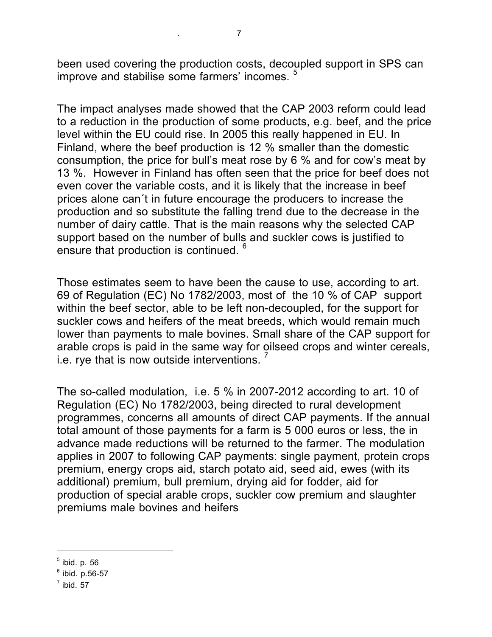been used covering the production costs, decoupled support in SPS can improve and stabilise some farmers' incomes.

The impact analyses made showed that the CAP 2003 reform could lead to a reduction in the production of some products, e.g. beef, and the price level within the EU could rise. In 2005 this really happened in EU. In Finland, where the beef production is 12 % smaller than the domestic consumption, the price for bull's meat rose by 6 % and for cow's meat by 13 %. However in Finland has often seen that the price for beef does not even cover the variable costs, and it is likely that the increase in beef prices alone can´t in future encourage the producers to increase the production and so substitute the falling trend due to the decrease in the number of dairy cattle. That is the main reasons why the selected CAP support based on the number of bulls and suckler cows is justified to ensure that production is continued. <sup>6</sup>

Those estimates seem to have been the cause to use, according to art. 69 of Regulation (EC) No 1782/2003, most of the 10 % of CAP support within the beef sector, able to be left non-decoupled, for the support for suckler cows and heifers of the meat breeds, which would remain much lower than payments to male bovines. Small share of the CAP support for arable crops is paid in the same way for oilseed crops and winter cereals, i.e. rye that is now outside interventions.

The so-called modulation, i.e. 5 % in 2007-2012 according to art. 10 of Regulation (EC) No 1782/2003, being directed to rural development programmes, concerns all amounts of direct CAP payments. If the annual total amount of those payments for a farm is 5 000 euros or less, the in advance made reductions will be returned to the farmer. The modulation applies in 2007 to following CAP payments: single payment, protein crops premium, energy crops aid, starch potato aid, seed aid, ewes (with its additional) premium, bull premium, drying aid for fodder, aid for production of special arable crops, suckler cow premium and slaughter premiums male bovines and heifers

 $<sup>5</sup>$  ibid. p. 56</sup>

 $6$  ibid. p.56-57

 $<sup>7</sup>$  ibid. 57</sup>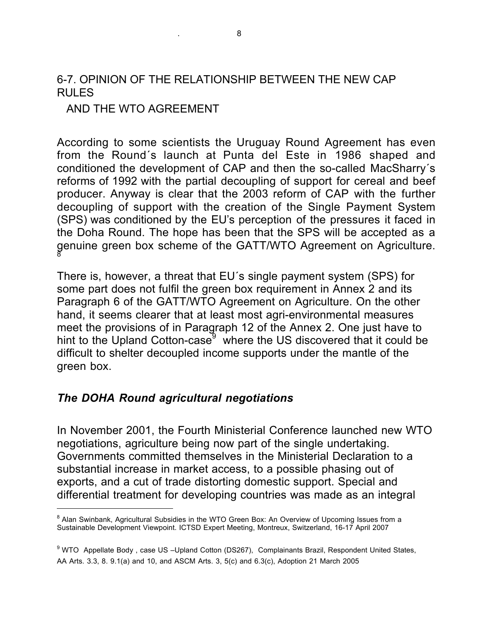### 6-7. OPINION OF THE RELATIONSHIP BETWEEN THE NEW CAP RULES

#### AND THE WTO AGREEMENT

According to some scientists the Uruguay Round Agreement has even from the Round´s launch at Punta del Este in 1986 shaped and conditioned the development of CAP and then the so-called MacSharry´s reforms of 1992 with the partial decoupling of support for cereal and beef producer. Anyway is clear that the 2003 reform of CAP with the further decoupling of support with the creation of the Single Payment System (SPS) was conditioned by the EU's perception of the pressures it faced in the Doha Round. The hope has been that the SPS will be accepted as a genuine green box scheme of the GATT/WTO Agreement on Agriculture.

There is, however, a threat that EU´s single payment system (SPS) for some part does not fulfil the green box requirement in Annex 2 and its Paragraph 6 of the GATT/WTO Agreement on Agriculture. On the other hand, it seems clearer that at least most agri-environmental measures meet the provisions of in Paragraph 12 of the Annex 2. One just have to hint to the Upland Cotton-case<sup>9</sup> where the US discovered that it could be difficult to shelter decoupled income supports under the mantle of the green box.

#### *The DOHA Round agricultural negotiations*

 $\overline{a}$ 

In November 2001, the Fourth Ministerial Conference launched new WTO negotiations, agriculture being now part of the single undertaking. Governments committed themselves in the Ministerial Declaration to a substantial increase in market access, to a possible phasing out of exports, and a cut of trade distorting domestic support. Special and differential treatment for developing countries was made as an integral

<sup>&</sup>lt;sup>8</sup> Alan Swinbank, Agricultural Subsidies in the WTO Green Box: An Overview of Upcoming Issues from a Sustainable Development Viewpoint. ICTSD Expert Meeting, Montreux, Switzerland, 16-17 April 2007

<sup>&</sup>lt;sup>9</sup> WTO Appellate Body, case US –Upland Cotton (DS267), Complainants Brazil, Respondent United States, AA Arts. 3.3, 8. 9.1(a) and 10, and ASCM Arts. 3, 5(c) and 6.3(c), Adoption 21 March 2005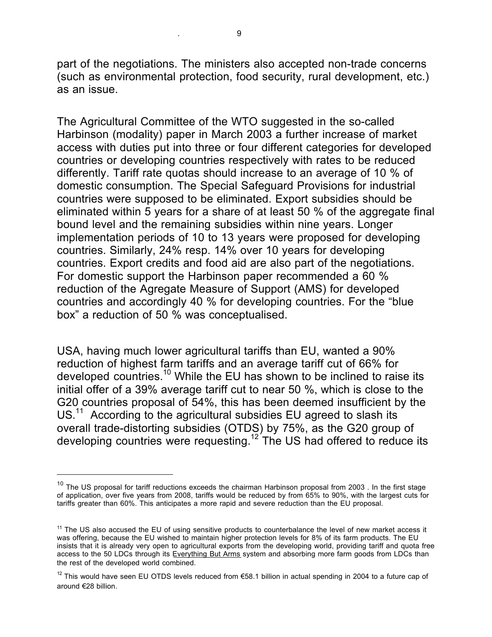part of the negotiations. The ministers also accepted non-trade concerns (such as environmental protection, food security, rural development, etc.) as an issue.

The Agricultural Committee of the WTO suggested in the so-called Harbinson (modality) paper in March 2003 a further increase of market access with duties put into three or four different categories for developed countries or developing countries respectively with rates to be reduced differently. Tariff rate quotas should increase to an average of 10 % of domestic consumption. The Special Safeguard Provisions for industrial countries were supposed to be eliminated. Export subsidies should be eliminated within 5 years for a share of at least 50 % of the aggregate final bound level and the remaining subsidies within nine years. Longer implementation periods of 10 to 13 years were proposed for developing countries. Similarly, 24% resp. 14% over 10 years for developing countries. Export credits and food aid are also part of the negotiations. For domestic support the Harbinson paper recommended a 60 % reduction of the Agregate Measure of Support (AMS) for developed countries and accordingly 40 % for developing countries. For the "blue box" a reduction of 50 % was conceptualised.

USA, having much lower agricultural tariffs than EU, wanted a 90% reduction of highest farm tariffs and an average tariff cut of 66% for developed countries.<sup>10</sup> While the EU has shown to be inclined to raise its initial offer of a 39% average tariff cut to near 50 %, which is close to the G20 countries proposal of 54%, this has been deemed insufficient by the US.<sup>11</sup> According to the agricultural subsidies EU agreed to slash its overall trade-distorting subsidies (OTDS) by 75%, as the G20 group of developing countries were requesting.<sup>12</sup> The US had offered to reduce its

 $10$  The US proposal for tariff reductions exceeds the chairman Harbinson proposal from 2003. In the first stage of application, over five years from 2008, tariffs would be reduced by from 65% to 90%, with the largest cuts for tariffs greater than 60%. This anticipates a more rapid and severe reduction than the EU proposal.

 $11$  The US also accused the EU of using sensitive products to counterbalance the level of new market access it was offering, because the EU wished to maintain higher protection levels for 8% of its farm products. The EU insists that it is already very open to agricultural exports from the developing world, providing tariff and quota free access to the 50 LDCs through its Everything But Arms system and absorbing more farm goods from LDCs than the rest of the developed world combined.

<sup>&</sup>lt;sup>12</sup> This would have seen EU OTDS levels reduced from €58.1 billion in actual spending in 2004 to a future cap of around €28 billion.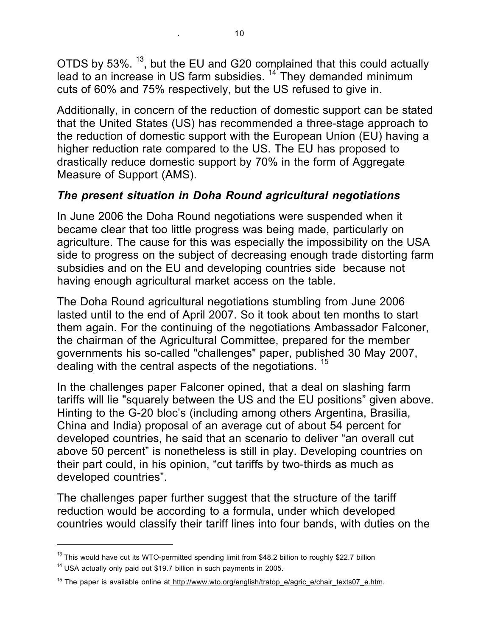OTDS by 53%.  $^{13}$ , but the EU and G20 complained that this could actually lead to an increase in US farm subsidies.  $14$  They demanded minimum cuts of 60% and 75% respectively, but the US refused to give in.

Additionally, in concern of the reduction of domestic support can be stated that the United States (US) has recommended a three-stage approach to the reduction of domestic support with the European Union (EU) having a higher reduction rate compared to the US. The EU has proposed to drastically reduce domestic support by 70% in the form of Aggregate Measure of Support (AMS).

## *The present situation in Doha Round agricultural negotiations*

In June 2006 the Doha Round negotiations were suspended when it became clear that too little progress was being made, particularly on agriculture. The cause for this was especially the impossibility on the USA side to progress on the subject of decreasing enough trade distorting farm subsidies and on the EU and developing countries side because not having enough agricultural market access on the table.

The Doha Round agricultural negotiations stumbling from June 2006 lasted until to the end of April 2007. So it took about ten months to start them again. For the continuing of the negotiations Ambassador Falconer, the chairman of the Agricultural Committee, prepared for the member governments his so-called "challenges" paper, published 30 May 2007, dealing with the central aspects of the negotiations.<sup>15</sup>

In the challenges paper Falconer opined, that a deal on slashing farm tariffs will lie "squarely between the US and the EU positions" given above. Hinting to the G-20 bloc's (including among others Argentina, Brasilia, China and India) proposal of an average cut of about 54 percent for developed countries, he said that an scenario to deliver "an overall cut above 50 percent" is nonetheless is still in play. Developing countries on their part could, in his opinion, "cut tariffs by two-thirds as much as developed countries".

The challenges paper further suggest that the structure of the tariff reduction would be according to a formula, under which developed countries would classify their tariff lines into four bands, with duties on the

<sup>&</sup>lt;sup>13</sup> This would have cut its WTO-permitted spending limit from \$48.2 billion to roughly \$22.7 billion

 $14$  USA actually only paid out \$19.7 billion in such payments in 2005.

<sup>&</sup>lt;sup>15</sup> The paper is available online at http://www.wto.org/english/tratop\_e/agric\_e/chair\_texts07\_e.htm.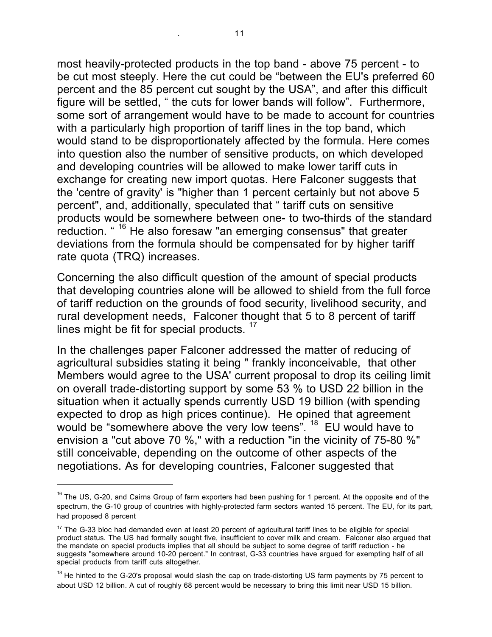most heavily-protected products in the top band - above 75 percent - to be cut most steeply. Here the cut could be "between the EU's preferred 60 percent and the 85 percent cut sought by the USA", and after this difficult figure will be settled, " the cuts for lower bands will follow". Furthermore, some sort of arrangement would have to be made to account for countries with a particularly high proportion of tariff lines in the top band, which would stand to be disproportionately affected by the formula. Here comes into question also the number of sensitive products, on which developed and developing countries will be allowed to make lower tariff cuts in exchange for creating new import quotas. Here Falconer suggests that the 'centre of gravity' is "higher than 1 percent certainly but not above 5 percent", and, additionally, speculated that " tariff cuts on sensitive products would be somewhere between one- to two-thirds of the standard reduction. " <sup>16</sup> He also foresaw "an emerging consensus" that greater deviations from the formula should be compensated for by higher tariff rate quota (TRQ) increases.

Concerning the also difficult question of the amount of special products that developing countries alone will be allowed to shield from the full force of tariff reduction on the grounds of food security, livelihood security, and rural development needs, Falconer thought that 5 to 8 percent of tariff lines might be fit for special products.  $17$ 

In the challenges paper Falconer addressed the matter of reducing of agricultural subsidies stating it being " frankly inconceivable, that other Members would agree to the USA' current proposal to drop its ceiling limit on overall trade-distorting support by some 53 % to USD 22 billion in the situation when it actually spends currently USD 19 billion (with spending expected to drop as high prices continue). He opined that agreement would be "somewhere above the very low teens". <sup>18</sup> EU would have to envision a "cut above 70 %," with a reduction "in the vicinity of 75-80 %" still conceivable, depending on the outcome of other aspects of the negotiations. As for developing countries, Falconer suggested that

<sup>&</sup>lt;sup>16</sup> The US, G-20, and Cairns Group of farm exporters had been pushing for 1 percent. At the opposite end of the spectrum, the G-10 group of countries with highly-protected farm sectors wanted 15 percent. The EU, for its part, had proposed 8 percent

 $17$  The G-33 bloc had demanded even at least 20 percent of agricultural tariff lines to be eligible for special product status. The US had formally sought five, insufficient to cover milk and cream. Falconer also argued that the mandate on special products implies that all should be subject to some degree of tariff reduction - he suggests "somewhere around 10-20 percent." In contrast, G-33 countries have argued for exempting half of all special products from tariff cuts altogether.

 $18$  He hinted to the G-20's proposal would slash the cap on trade-distorting US farm payments by 75 percent to about USD 12 billion. A cut of roughly 68 percent would be necessary to bring this limit near USD 15 billion.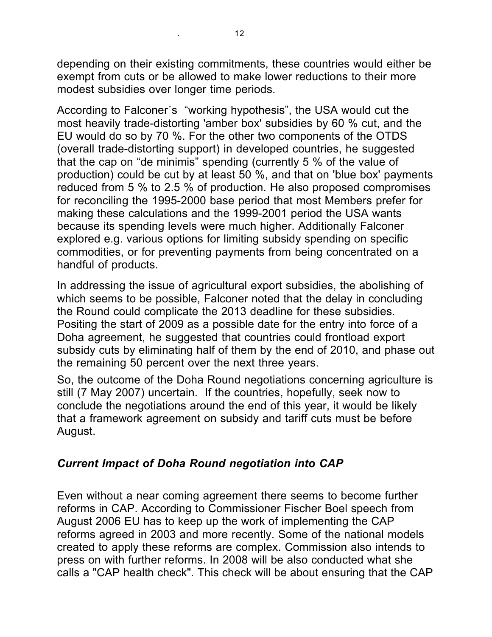depending on their existing commitments, these countries would either be exempt from cuts or be allowed to make lower reductions to their more modest subsidies over longer time periods.

According to Falconer´s "working hypothesis", the USA would cut the most heavily trade-distorting 'amber box' subsidies by 60 % cut, and the EU would do so by 70 %. For the other two components of the OTDS (overall trade-distorting support) in developed countries, he suggested that the cap on "de minimis" spending (currently 5 % of the value of production) could be cut by at least 50 %, and that on 'blue box' payments reduced from 5 % to 2.5 % of production. He also proposed compromises for reconciling the 1995-2000 base period that most Members prefer for making these calculations and the 1999-2001 period the USA wants because its spending levels were much higher. Additionally Falconer explored e.g. various options for limiting subsidy spending on specific commodities, or for preventing payments from being concentrated on a handful of products.

In addressing the issue of agricultural export subsidies, the abolishing of which seems to be possible, Falconer noted that the delay in concluding the Round could complicate the 2013 deadline for these subsidies. Positing the start of 2009 as a possible date for the entry into force of a Doha agreement, he suggested that countries could frontload export subsidy cuts by eliminating half of them by the end of 2010, and phase out the remaining 50 percent over the next three years.

So, the outcome of the Doha Round negotiations concerning agriculture is still (7 May 2007) uncertain. If the countries, hopefully, seek now to conclude the negotiations around the end of this year, it would be likely that a framework agreement on subsidy and tariff cuts must be before August.

## *Current Impact of Doha Round negotiation into CAP*

Even without a near coming agreement there seems to become further reforms in CAP. According to Commissioner Fischer Boel speech from August 2006 EU has to keep up the work of implementing the CAP reforms agreed in 2003 and more recently. Some of the national models created to apply these reforms are complex. Commission also intends to press on with further reforms. In 2008 will be also conducted what she calls a "CAP health check". This check will be about ensuring that the CAP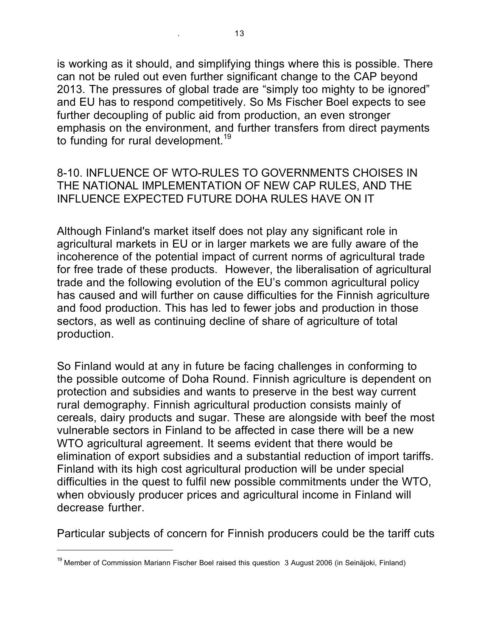is working as it should, and simplifying things where this is possible. There can not be ruled out even further significant change to the CAP beyond 2013. The pressures of global trade are "simply too mighty to be ignored" and EU has to respond competitively. So Ms Fischer Boel expects to see further decoupling of public aid from production, an even stronger emphasis on the environment, and further transfers from direct payments to funding for rural development.<sup>19</sup>

### 8-10. INFLUENCE OF WTO-RULES TO GOVERNMENTS CHOISES IN THE NATIONAL IMPLEMENTATION OF NEW CAP RULES, AND THE INFLUENCE EXPECTED FUTURE DOHA RULES HAVE ON IT

Although Finland's market itself does not play any significant role in agricultural markets in EU or in larger markets we are fully aware of the incoherence of the potential impact of current norms of agricultural trade for free trade of these products. However, the liberalisation of agricultural trade and the following evolution of the EU's common agricultural policy has caused and will further on cause difficulties for the Finnish agriculture and food production. This has led to fewer jobs and production in those sectors, as well as continuing decline of share of agriculture of total production.

So Finland would at any in future be facing challenges in conforming to the possible outcome of Doha Round. Finnish agriculture is dependent on protection and subsidies and wants to preserve in the best way current rural demography. Finnish agricultural production consists mainly of cereals, dairy products and sugar. These are alongside with beef the most vulnerable sectors in Finland to be affected in case there will be a new WTO agricultural agreement. It seems evident that there would be elimination of export subsidies and a substantial reduction of import tariffs. Finland with its high cost agricultural production will be under special difficulties in the quest to fulfil new possible commitments under the WTO, when obviously producer prices and agricultural income in Finland will decrease further.

Particular subjects of concern for Finnish producers could be the tariff cuts

<sup>&</sup>lt;sup>19</sup> Member of Commission Mariann Fischer Boel raised this question 3 August 2006 (in Seinäjoki, Finland)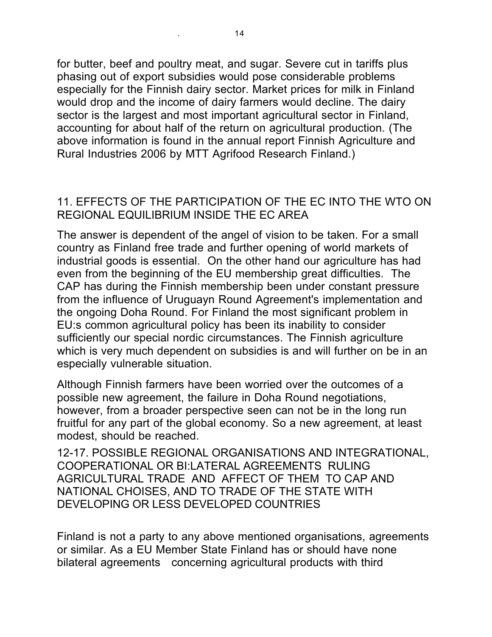for butter, beef and poultry meat, and sugar. Severe cut in tariffs plus phasing out of export subsidies would pose considerable problems especially for the Finnish dairy sector. Market prices for milk in Finland would drop and the income of dairy farmers would decline. The dairy sector is the largest and most important agricultural sector in Finland, accounting for about half of the return on agricultural production. (The above information is found in the annual report Finnish Agriculture and Rural Industries 2006 by MTT Agrifood Research Finland.)

### 11. EFFECTS OF THE PARTICIPATION OF THE EC INTO THE WTO ON REGIONAL EQUILIBRIUM INSIDE THE EC AREA

The answer is dependent of the angel of vision to be taken. For a small country as Finland free trade and further opening of world markets of industrial goods is essential. On the other hand our agriculture has had even from the beginning of the EU membership great difficulties. The CAP has during the Finnish membership been under constant pressure from the influence of Uruguayn Round Agreement's implementation and the ongoing Doha Round. For Finland the most significant problem in EU:s common agricultural policy has been its inability to consider sufficiently our special nordic circumstances. The Finnish agriculture which is very much dependent on subsidies is and will further on be in an especially vulnerable situation.

Although Finnish farmers have been worried over the outcomes of a possible new agreement, the failure in Doha Round negotiations, however, from a broader perspective seen can not be in the long run fruitful for any part of the global economy. So a new agreement, at least modest, should be reached.

12-17. POSSIBLE REGIONAL ORGANISATIONS AND INTEGRATIONAL, COOPERATIONAL OR BI:LATERAL AGREEMENTS RULING AGRICULTURAL TRADE AND AFFECT OF THEM TO CAP AND NATIONAL CHOISES, AND TO TRADE OF THE STATE WITH DEVELOPING OR LESS DEVELOPED COUNTRIES

Finland is not a party to any above mentioned organisations, agreements or similar. As a EU Member State Finland has or should have none bilateral agreements concerning agricultural products with third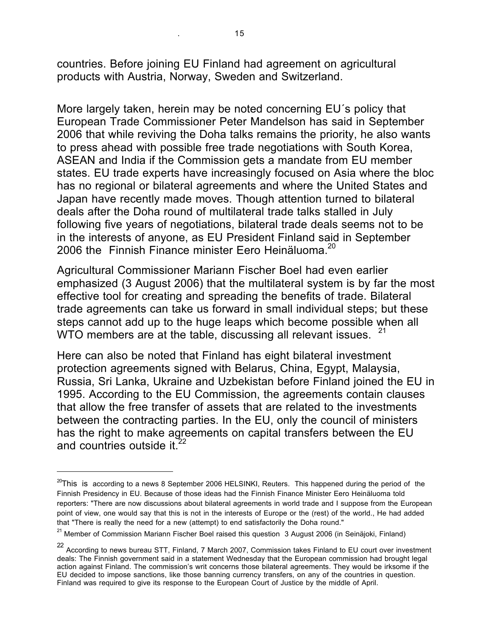countries. Before joining EU Finland had agreement on agricultural products with Austria, Norway, Sweden and Switzerland.

More largely taken, herein may be noted concerning EU´s policy that European Trade Commissioner Peter Mandelson has said in September 2006 that while reviving the Doha talks remains the priority, he also wants to press ahead with possible free trade negotiations with South Korea, ASEAN and India if the Commission gets a mandate from EU member states. EU trade experts have increasingly focused on Asia where the bloc has no regional or bilateral agreements and where the United States and Japan have recently made moves. Though attention turned to bilateral deals after the Doha round of multilateral trade talks stalled in July following five years of negotiations, bilateral trade deals seems not to be in the interests of anyone, as EU President Finland said in September 2006 the Finnish Finance minister Fero Heinäluoma. $20$ 

Agricultural Commissioner Mariann Fischer Boel had even earlier emphasized (3 August 2006) that the multilateral system is by far the most effective tool for creating and spreading the benefits of trade. Bilateral trade agreements can take us forward in small individual steps; but these steps cannot add up to the huge leaps which become possible when all WTO members are at the table, discussing all relevant issues.

Here can also be noted that Finland has eight bilateral investment protection agreements signed with Belarus, China, Egypt, Malaysia, Russia, Sri Lanka, Ukraine and Uzbekistan before Finland joined the EU in 1995. According to the EU Commission, the agreements contain clauses that allow the free transfer of assets that are related to the investments between the contracting parties. In the EU, only the council of ministers has the right to make agreements on capital transfers between the EU and countries outside it. $22$ 

 $^{20}$ This is according to a news 8 September 2006 HELSINKI, Reuters. This happened during the period of the Finnish Presidency in EU. Because of those ideas had the Finnish Finance Minister Eero Heinäluoma told reporters: "There are now discussions about bilateral agreements in world trade and I suppose from the European point of view, one would say that this is not in the interests of Europe or the (rest) of the world., He had added that "There is really the need for a new (attempt) to end satisfactorily the Doha round."

 $21$  Member of Commission Mariann Fischer Boel raised this question 3 August 2006 (in Seinäjoki, Finland)

<sup>22</sup> According to news bureau STT, Finland, 7 March 2007, Commission takes Finland to EU court over investment deals: The Finnish government said in a statement Wednesday that the European commission had brought legal action against Finland. The commission's writ concerns those bilateral agreements. They would be irksome if the EU decided to impose sanctions, like those banning currency transfers, on any of the countries in question. Finland was required to give its response to the European Court of Justice by the middle of April.